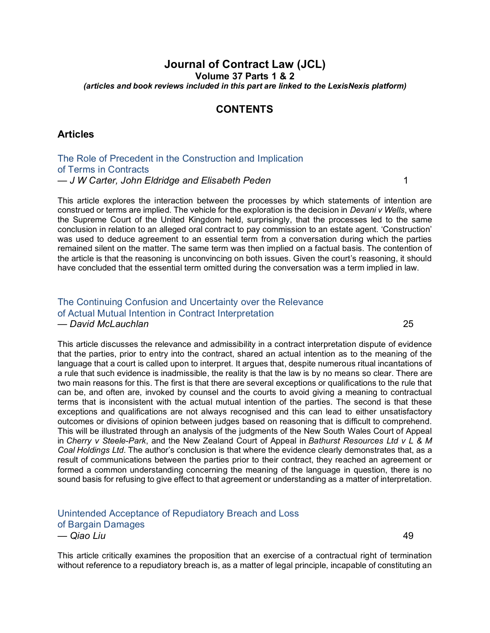# **Journal of Contract Law (JCL) Volume 37 Parts 1 & 2** *(articles and book reviews included in this part are linked to the LexisNexis platform)*

# **CONTENTS**

### **Articles**

[The Role of Precedent in the Construction and Implication](https://advance.lexis.com/api/permalink/61dede37-9311-4669-a80c-ad6abd980dd2/?context=1201008) of Terms in Contracts — *J W Carter, John Eldridge and Elisabeth Peden* 1

This article explores the interaction between the processes by which statements of intention are construed or terms are implied. The vehicle for the exploration is the decision in *Devani v Wells*, where the Supreme Court of the United Kingdom held, surprisingly, that the processes led to the same conclusion in relation to an alleged oral contract to pay commission to an estate agent. 'Construction' was used to deduce agreement to an essential term from a conversation during which the parties remained silent on the matter. The same term was then implied on a factual basis. The contention of the article is that the reasoning is unconvincing on both issues. Given the court's reasoning, it should have concluded that the essential term omitted during the conversation was a term implied in law.

### [The Continuing Confusion and Uncertainty over the](https://advance.lexis.com/api/permalink/49740303-ea21-483e-affe-a01082b07c71/?context=1201008) Relevance of Actual Mutual Intention in Contract Interpretation — *David McLauchlan* 25

This article discusses the relevance and admissibility in a contract interpretation dispute of evidence that the parties, prior to entry into the contract, shared an actual intention as to the meaning of the language that a court is called upon to interpret. It argues that, despite numerous ritual incantations of a rule that such evidence is inadmissible, the reality is that the law is by no means so clear. There are two main reasons for this. The first is that there are several exceptions or qualifications to the rule that can be, and often are, invoked by counsel and the courts to avoid giving a meaning to contractual terms that is inconsistent with the actual mutual intention of the parties. The second is that these exceptions and qualifications are not always recognised and this can lead to either unsatisfactory outcomes or divisions of opinion between judges based on reasoning that is difficult to comprehend. This will be illustrated through an analysis of the judgments of the New South Wales Court of Appeal in *Cherry v Steele-Park*, and the New Zealand Court of Appeal in *Bathurst Resources Ltd v L & M Coal Holdings Ltd*. The author's conclusion is that where the evidence clearly demonstrates that, as a result of communications between the parties prior to their contract, they reached an agreement or formed a common understanding concerning the meaning of the language in question, there is no sound basis for refusing to give effect to that agreement or understanding as a matter of interpretation.

[Unintended Acceptance of Repudiatory Breach and Loss](https://advance.lexis.com/api/permalink/5d5c0e34-df52-4a54-88d4-22f3803df434/?context=1201008) of Bargain Damages — *Qiao Liu* 49

This article critically examines the proposition that an exercise of a contractual right of termination without reference to a repudiatory breach is, as a matter of legal principle, incapable of constituting an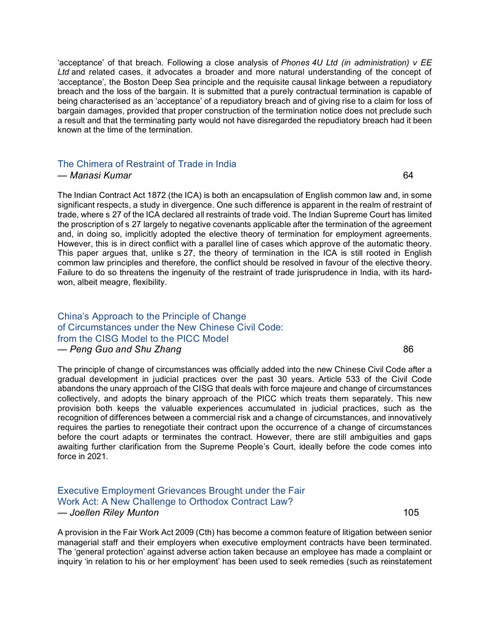'acceptance' of that breach. Following a close analysis of *Phones 4U Ltd (in administration) v EE Ltd* and related cases, it advocates a broader and more natural understanding of the concept of 'acceptance', the Boston Deep Sea principle and the requisite causal linkage between a repudiatory breach and the loss of the bargain. It is submitted that a purely contractual termination is capable of being characterised as an 'acceptance' of a repudiatory breach and of giving rise to a claim for loss of bargain damages, provided that proper construction of the termination notice does not preclude such a result and that the terminating party would not have disregarded the repudiatory breach had it been known at the time of the termination.

## [The Chimera of Restraint of Trade in India](https://advance.lexis.com/api/permalink/ba4082cc-b730-4165-99ae-62e66de6a3af/?context=1201008)

#### — *Manasi Kumar* 64

The Indian Contract Act 1872 (the ICA) is both an encapsulation of English common law and, in some significant respects, a study in divergence. One such difference is apparent in the realm of restraint of trade, where s 27 of the ICA declared all restraints of trade void. The Indian Supreme Court has limited the proscription of s 27 largely to negative covenants applicable after the termination of the agreement and, in doing so, implicitly adopted the elective theory of termination for employment agreements. However, this is in direct conflict with a parallel line of cases which approve of the automatic theory. This paper argues that, unlike s 27, the theory of termination in the ICA is still rooted in English common law principles and therefore, the conflict should be resolved in favour of the elective theory. Failure to do so threatens the ingenuity of the restraint of trade jurisprudence in India, with its hardwon, albeit meagre, flexibility.

### [China's Approach to the Principle of Change](https://advance.lexis.com/api/permalink/668960bb-4d9a-4ebb-b648-4987609b4c33/?context=1201008) of Circumstances under the New Chinese Civil Code: from the CISG Model to the PICC Model — *Peng Guo and Shu Zhang* 86

The principle of change of circumstances was officially added into the new Chinese Civil Code after a gradual development in judicial practices over the past 30 years. Article 533 of the Civil Code abandons the unary approach of the CISG that deals with force majeure and change of circumstances collectively, and adopts the binary approach of the PICC which treats them separately. This new provision both keeps the valuable experiences accumulated in judicial practices, such as the recognition of differences between a commercial risk and a change of circumstances, and innovatively requires the parties to renegotiate their contract upon the occurrence of a change of circumstances before the court adapts or terminates the contract. However, there are still ambiguities and gaps awaiting further clarification from the Supreme People's Court, ideally before the code comes into force in 2021.

### [Executive Employment Grievances Brought under the Fair](https://advance.lexis.com/api/permalink/4bee617b-2461-42d0-9458-347615d83560/?context=1201008) Work Act: A New Challenge to Orthodox Contract Law? — *Joellen Riley Munton* 105

A provision in the Fair Work Act 2009 (Cth) has become a common feature of litigation between senior managerial staff and their employers when executive employment contracts have been terminated. The 'general protection' against adverse action taken because an employee has made a complaint or inquiry 'in relation to his or her employment' has been used to seek remedies (such as reinstatement